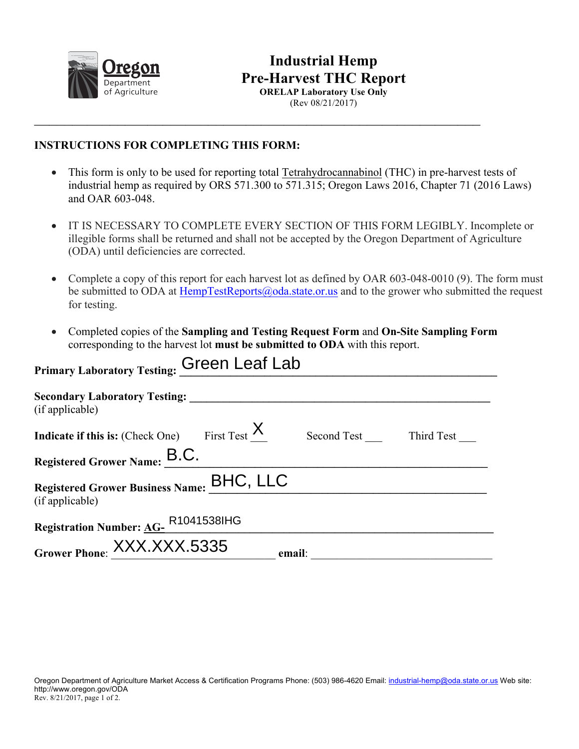

## **Industrial Hemp Pre-Harvest THC Report ORELAP Laboratory Use Only**

(Rev 08/21/2017)

## **INSTRUCTIONS FOR COMPLETING THIS FORM:**

• This form is only to be used for reporting total Tetrahydrocannabinol (THC) in pre-harvest tests of industrial hemp as required by ORS 571.300 to 571.315; Oregon Laws 2016, Chapter 71 (2016 Laws) and OAR 603-048.

 $\_$ 

- IT IS NECESSARY TO COMPLETE EVERY SECTION OF THIS FORM LEGIBLY. Incomplete or illegible forms shall be returned and shall not be accepted by the Oregon Department of Agriculture (ODA) until deficiencies are corrected.
- Complete a copy of this report for each harvest lot as defined by OAR 603-048-0010 (9). The form must be submitted to ODA at HempTestReports@oda.state.or.us and to the grower who submitted the request for testing.
- Completed copies of the **Sampling and Testing Request Form** and **On-Site Sampling Form**  corresponding to the harvest lot **must be submitted to ODA** with this report.

| Primary Laboratory Testing: Green Leaf Lab                   |                        |  |
|--------------------------------------------------------------|------------------------|--|
| <b>Secondary Laboratory Testing:</b><br>(if applicable)      |                        |  |
| <b>Indicate if this is:</b> (Check One) First Test $X$       | Second Test Third Test |  |
| Registered Grower Name: B.C.                                 |                        |  |
| Registered Grower Business Name: BHC, LLC<br>(if applicable) |                        |  |
| Registration Number: AG-R1041538lHG                          |                        |  |
| Grower Phone: XXX.XXX.5335                                   | email:                 |  |